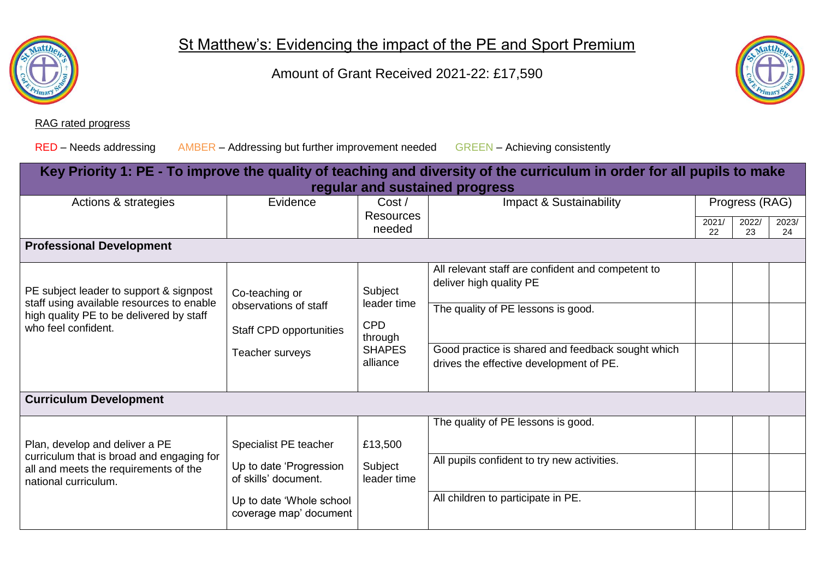

St Matthew's: Evidencing the impact of the PE and Sport Premium

Amount of Grant Received 2021-22: £17,590



## RAG rated progress

RED – Needs addressing AMBER – Addressing but further improvement needed GREEN – Achieving consistently

| Key Priority 1: PE - To improve the quality of teaching and diversity of the curriculum in order for all pupils to make<br>regular and sustained progress |                                                                                                                                |                                                                              |                                                                                                                                                                                                                    |             |                |             |
|-----------------------------------------------------------------------------------------------------------------------------------------------------------|--------------------------------------------------------------------------------------------------------------------------------|------------------------------------------------------------------------------|--------------------------------------------------------------------------------------------------------------------------------------------------------------------------------------------------------------------|-------------|----------------|-------------|
| Actions & strategies                                                                                                                                      | Evidence                                                                                                                       | Cost/                                                                        | Impact & Sustainability                                                                                                                                                                                            |             | Progress (RAG) |             |
|                                                                                                                                                           |                                                                                                                                | <b>Resources</b><br>needed                                                   |                                                                                                                                                                                                                    | 2021/<br>22 | 2022/<br>23    | 2023/<br>24 |
| <b>Professional Development</b>                                                                                                                           |                                                                                                                                |                                                                              |                                                                                                                                                                                                                    |             |                |             |
| PE subject leader to support & signpost<br>staff using available resources to enable<br>high quality PE to be delivered by staff<br>who feel confident.   | Co-teaching or<br>observations of staff<br><b>Staff CPD opportunities</b><br>Teacher surveys                                   | Subject<br>leader time<br><b>CPD</b><br>through<br><b>SHAPES</b><br>alliance | All relevant staff are confident and competent to<br>deliver high quality PE<br>The quality of PE lessons is good.<br>Good practice is shared and feedback sought which<br>drives the effective development of PE. |             |                |             |
| <b>Curriculum Development</b>                                                                                                                             |                                                                                                                                |                                                                              |                                                                                                                                                                                                                    |             |                |             |
| Plan, develop and deliver a PE<br>curriculum that is broad and engaging for<br>all and meets the requirements of the<br>national curriculum.              | Specialist PE teacher<br>Up to date 'Progression<br>of skills' document.<br>Up to date 'Whole school<br>coverage map' document | £13,500<br>Subject<br>leader time                                            | The quality of PE lessons is good.<br>All pupils confident to try new activities.<br>All children to participate in PE.                                                                                            |             |                |             |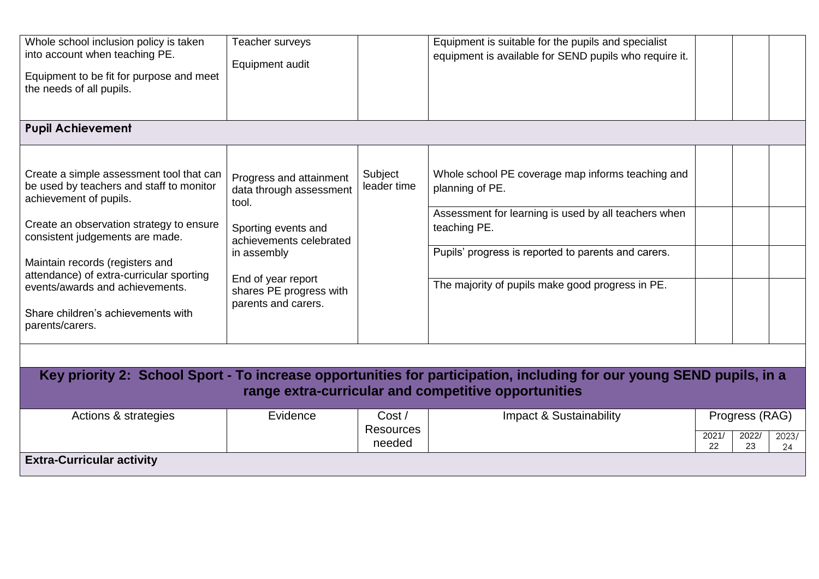| Whole school inclusion policy is taken<br>into account when teaching PE.<br>Equipment to be fit for purpose and meet<br>the needs of all pupils.                                                                                                                                                                                                                         | Teacher surveys<br>Equipment audit                                                                                                                                                                   |                           | Equipment is suitable for the pupils and specialist<br>equipment is available for SEND pupils who require it.                                                                                                                                           |             |                |             |
|--------------------------------------------------------------------------------------------------------------------------------------------------------------------------------------------------------------------------------------------------------------------------------------------------------------------------------------------------------------------------|------------------------------------------------------------------------------------------------------------------------------------------------------------------------------------------------------|---------------------------|---------------------------------------------------------------------------------------------------------------------------------------------------------------------------------------------------------------------------------------------------------|-------------|----------------|-------------|
| <b>Pupil Achievement</b>                                                                                                                                                                                                                                                                                                                                                 |                                                                                                                                                                                                      |                           |                                                                                                                                                                                                                                                         |             |                |             |
| Create a simple assessment tool that can<br>be used by teachers and staff to monitor<br>achievement of pupils.<br>Create an observation strategy to ensure<br>consistent judgements are made.<br>Maintain records (registers and<br>attendance) of extra-curricular sporting<br>events/awards and achievements.<br>Share children's achievements with<br>parents/carers. | Progress and attainment<br>data through assessment<br>tool.<br>Sporting events and<br>achievements celebrated<br>in assembly<br>End of year report<br>shares PE progress with<br>parents and carers. | Subject<br>leader time    | Whole school PE coverage map informs teaching and<br>planning of PE.<br>Assessment for learning is used by all teachers when<br>teaching PE.<br>Pupils' progress is reported to parents and carers.<br>The majority of pupils make good progress in PE. |             |                |             |
|                                                                                                                                                                                                                                                                                                                                                                          |                                                                                                                                                                                                      |                           |                                                                                                                                                                                                                                                         |             |                |             |
|                                                                                                                                                                                                                                                                                                                                                                          |                                                                                                                                                                                                      |                           | Key priority 2: School Sport - To increase opportunities for participation, including for our young SEND pupils, in a<br>range extra-curricular and competitive opportunities                                                                           |             |                |             |
| Actions & strategies                                                                                                                                                                                                                                                                                                                                                     | Evidence                                                                                                                                                                                             | Cost/<br><b>Resources</b> | Impact & Sustainability                                                                                                                                                                                                                                 |             | Progress (RAG) |             |
|                                                                                                                                                                                                                                                                                                                                                                          |                                                                                                                                                                                                      | needed                    |                                                                                                                                                                                                                                                         | 2021/<br>22 | 2022/<br>23    | 2023/<br>24 |
| <b>Extra-Curricular activity</b>                                                                                                                                                                                                                                                                                                                                         |                                                                                                                                                                                                      |                           |                                                                                                                                                                                                                                                         |             |                |             |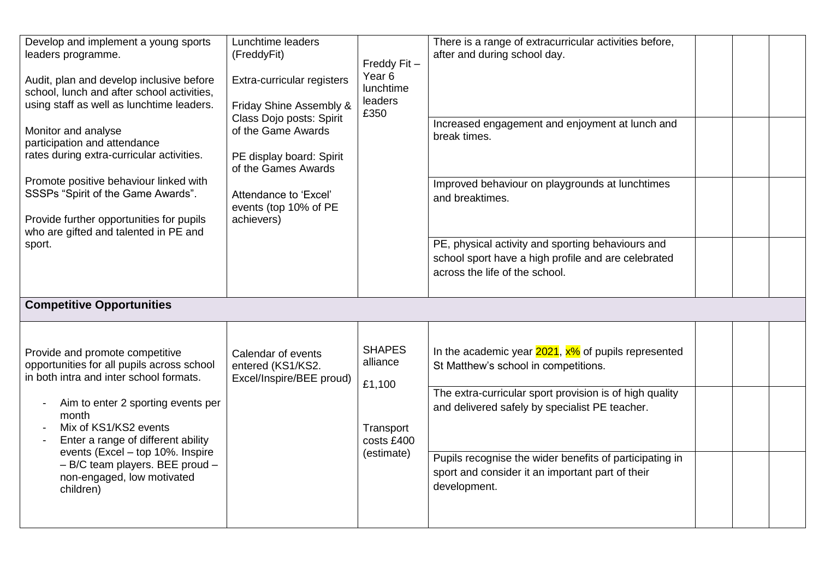| Develop and implement a young sports<br>leaders programme.<br>Audit, plan and develop inclusive before<br>school, lunch and after school activities,<br>using staff as well as lunchtime leaders.<br>Monitor and analyse<br>participation and attendance<br>rates during extra-curricular activities.<br>Promote positive behaviour linked with<br>SSSPs "Spirit of the Game Awards".<br>Provide further opportunities for pupils<br>who are gifted and talented in PE and<br>sport. | Lunchtime leaders<br>(FreddyFit)<br>Extra-curricular registers<br>Friday Shine Assembly &<br>Class Dojo posts: Spirit<br>of the Game Awards<br>PE display board: Spirit<br>of the Games Awards<br>Attendance to 'Excel'<br>events (top 10% of PE<br>achievers) | Freddy Fit-<br>Year <sub>6</sub><br>lunchtime<br>leaders<br>£350             | There is a range of extracurricular activities before,<br>after and during school day.<br>Increased engagement and enjoyment at lunch and<br>break times.<br>Improved behaviour on playgrounds at lunchtimes<br>and breaktimes.<br>PE, physical activity and sporting behaviours and<br>school sport have a high profile and are celebrated<br>across the life of the school. |  |  |
|--------------------------------------------------------------------------------------------------------------------------------------------------------------------------------------------------------------------------------------------------------------------------------------------------------------------------------------------------------------------------------------------------------------------------------------------------------------------------------------|----------------------------------------------------------------------------------------------------------------------------------------------------------------------------------------------------------------------------------------------------------------|------------------------------------------------------------------------------|-------------------------------------------------------------------------------------------------------------------------------------------------------------------------------------------------------------------------------------------------------------------------------------------------------------------------------------------------------------------------------|--|--|
| <b>Competitive Opportunities</b><br>Provide and promote competitive<br>opportunities for all pupils across school<br>in both intra and inter school formats.<br>Aim to enter 2 sporting events per<br>month<br>Mix of KS1/KS2 events<br>Enter a range of different ability<br>events (Excel - top 10%. Inspire<br>- B/C team players. BEE proud -<br>non-engaged, low motivated<br>children)                                                                                         | Calendar of events<br>entered (KS1/KS2.<br>Excel/Inspire/BEE proud)                                                                                                                                                                                            | <b>SHAPES</b><br>alliance<br>£1,100<br>Transport<br>costs £400<br>(estimate) | In the academic year $2021$ , $x\%$ of pupils represented<br>St Matthew's school in competitions.<br>The extra-curricular sport provision is of high quality<br>and delivered safely by specialist PE teacher.<br>Pupils recognise the wider benefits of participating in<br>sport and consider it an important part of their<br>development.                                 |  |  |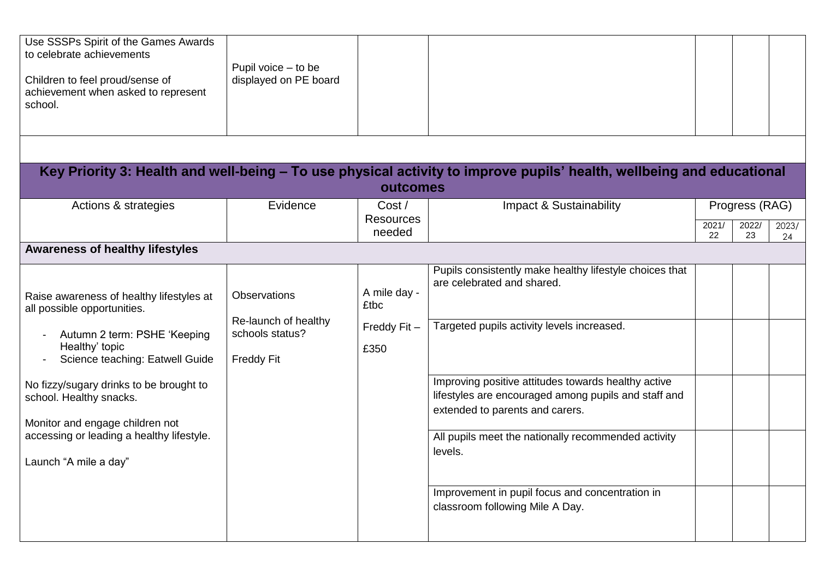| Use SSSPs Spirit of the Games Awards<br>to celebrate achievements<br>Children to feel proud/sense of<br>achievement when asked to represent<br>school.                                                                                                                | Pupil voice - to be<br>displayed on PE board                                        | outcomes                                              | Key Priority 3: Health and well-being - To use physical activity to improve pupils' health, wellbeing and educational                                                                                                                                                                 |             |                |             |
|-----------------------------------------------------------------------------------------------------------------------------------------------------------------------------------------------------------------------------------------------------------------------|-------------------------------------------------------------------------------------|-------------------------------------------------------|---------------------------------------------------------------------------------------------------------------------------------------------------------------------------------------------------------------------------------------------------------------------------------------|-------------|----------------|-------------|
|                                                                                                                                                                                                                                                                       | Evidence                                                                            | Cost/                                                 |                                                                                                                                                                                                                                                                                       |             |                |             |
| Actions & strategies                                                                                                                                                                                                                                                  |                                                                                     | <b>Resources</b>                                      | Impact & Sustainability                                                                                                                                                                                                                                                               |             | Progress (RAG) |             |
|                                                                                                                                                                                                                                                                       |                                                                                     | needed                                                |                                                                                                                                                                                                                                                                                       | 2021/<br>22 | 2022/<br>23    | 2023/<br>24 |
| <b>Awareness of healthy lifestyles</b>                                                                                                                                                                                                                                |                                                                                     |                                                       |                                                                                                                                                                                                                                                                                       |             |                |             |
| Raise awareness of healthy lifestyles at<br>all possible opportunities.<br>Autumn 2 term: PSHE 'Keeping<br>Healthy' topic<br>Science teaching: Eatwell Guide<br>No fizzy/sugary drinks to be brought to<br>school. Healthy snacks.<br>Monitor and engage children not | <b>Observations</b><br>Re-launch of healthy<br>schools status?<br><b>Freddy Fit</b> | A mile day -<br><b>£tbc</b><br>Freddy $Fit -$<br>£350 | Pupils consistently make healthy lifestyle choices that<br>are celebrated and shared.<br>Targeted pupils activity levels increased.<br>Improving positive attitudes towards healthy active<br>lifestyles are encouraged among pupils and staff and<br>extended to parents and carers. |             |                |             |
| accessing or leading a healthy lifestyle.<br>Launch "A mile a day"                                                                                                                                                                                                    |                                                                                     |                                                       | All pupils meet the nationally recommended activity<br>levels.<br>Improvement in pupil focus and concentration in<br>classroom following Mile A Day.                                                                                                                                  |             |                |             |